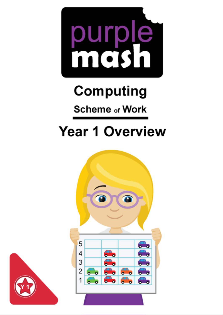

# **Computing**

## **Scheme of Work**

## **Year 1 Overview**



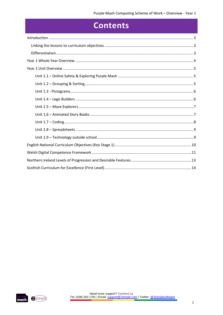### **Contents**

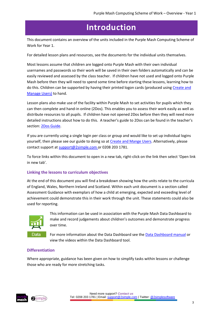## **Introduction**

<span id="page-2-0"></span>This document contains an overview of the units included in the Purple Mash Computing Scheme of Work for Year 1.

For detailed lesson plans and resources, see the documents for the individual units themselves.

Most lessons assume that children are logged onto Purple Mash with their own individual usernames and passwords so their work will be saved in their own folders automatically and can be easily reviewed and assessed by the class teacher. If children have not used and logged onto Purple Mash before then they will need to spend some time before starting these lessons, learning how to do this. Children can be supported by having their printed logon cards (produced using Create and [Manage Users\)](https://www.purplemash.com/site#app/guides/Create_Manage_Users_Guide) to hand.

Lesson plans also make use of the facility within Purple Mash to set activities for pupils which they can then complete and hand-in online (2Dos). This enables you to assess their work easily as well as distribute resources to all pupils. If children have not opened 2Dos before then they will need more detailed instructions about how to do this. A teacher's guide to 2Dos can be found in the teacher's section[: 2Dos Guide.](https://www.purplemash.com/site#app/guides/2dos_pdf_Guide)

If you are currently using a single login per class or group and would like to set up individual logins yourself, then please see our guide to doing so at [Create and Mange Users.](https://www.purplemash.com/site#app/guides/Create_Manage_Users_Guide) Alternatively, please contact support at [support@2simple.com](mailto:support@2simple.com) or 0208 203 1781.

To force links within this document to open in a new tab, right-click on the link then select 'Open link in new tab'.

#### <span id="page-2-1"></span>**Linking the lessons to curriculum objectives**

At the end of this document you will find a breakdown showing how the units relate to the curricula of England, Wales, Northern Ireland and Scotland. Within each unit document is a section called Assessment Guidance with exemplars of how a child at emerging, expected and exceeding level of achievement could demonstrate this in their work through the unit. These statements could also be used for reporting.



This information can be used in association with the Purple Mash Data Dashboard to make and record judgements about children's outcomes and demonstrate progress over time.

For more information about the Data Dashboard see the [Data Dashboard manual](https://www.purplemash.com/app/guides/Data_Dashboard_Users_Guide) or view the videos within the Data Dashboard tool.

#### <span id="page-2-2"></span>**Differentiation**

Where appropriate, guidance has been given on how to simplify tasks within lessons or challenge those who are ready for more stretching tasks.

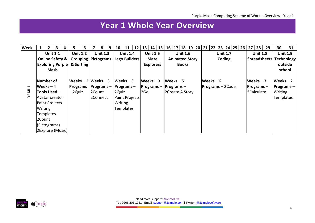## **Year 1 Whole Year Overview**

<span id="page-3-0"></span>

| <b>Week</b>      | $\mathbf{1}$      |                                       | $\overline{2}$<br>3                                                                     | 4 | 5                                                     | 6 |                                      | 8 | 9               | 10 <sup>1</sup>  | <b>11</b>                                                                   |      | $12$   13                                               |                       |  |                 | 14   15   16   17   18   19   20   21   22   23   24   25   26 |                 |                         |             |                    |         |  | 27 <sub>1</sub> | $28 \mid$                                  | 29 | 30                                                        | 31 |
|------------------|-------------------|---------------------------------------|-----------------------------------------------------------------------------------------|---|-------------------------------------------------------|---|--------------------------------------|---|-----------------|------------------|-----------------------------------------------------------------------------|------|---------------------------------------------------------|-----------------------|--|-----------------|----------------------------------------------------------------|-----------------|-------------------------|-------------|--------------------|---------|--|-----------------|--------------------------------------------|----|-----------------------------------------------------------|----|
|                  | <b>Unit 1.1</b>   |                                       | <b>Unit 1.2</b>                                                                         |   | <b>Unit 1.3</b>                                       |   | <b>Unit 1.4</b>                      |   | <b>Unit 1.5</b> |                  | <b>Unit 1.6</b>                                                             |      | <b>Unit 1.7</b>                                         |                       |  | <b>Unit 1.8</b> |                                                                | <b>Unit 1.9</b> |                         |             |                    |         |  |                 |                                            |    |                                                           |    |
|                  |                   | Online Safety &                       |                                                                                         |   |                                                       |   | <b>Grouping Pictograms</b>           |   |                 | Lego Builders    |                                                                             | Maze |                                                         | <b>Animated Story</b> |  | Coding          |                                                                |                 | Spreadsheets Technology |             |                    |         |  |                 |                                            |    |                                                           |    |
|                  |                   | <b>Exploring Purple &amp; Sorting</b> |                                                                                         |   |                                                       |   |                                      |   |                 | <b>Explorers</b> |                                                                             |      | <b>Books</b>                                            |                       |  |                 |                                                                |                 |                         |             |                    | outside |  |                 |                                            |    |                                                           |    |
|                  | Mash              |                                       |                                                                                         |   |                                                       |   |                                      |   |                 |                  |                                                                             |      |                                                         |                       |  |                 |                                                                |                 |                         |             |                    |         |  |                 |                                            |    | school                                                    |    |
| H<br><b>YEAR</b> | Writing<br>2Count |                                       | Number of<br>Weeks – 4<br>Tools Used -<br>Avatar creator<br>Paint Projects<br>Templates |   | $Weeks - 2 Weeks - 3$<br><b>Programs</b><br>$-2$ Quiz |   | $ $ Programs –<br>2Count<br>2Connect |   |                 | 2Quiz            | Weeks $-3$<br>$Programs -$<br>Paint Projects<br>Writing<br><b>Templates</b> |      | $\blacksquare$ Weeks $-3$<br><b>Programs</b> $-$<br>2Go |                       |  |                 | Weeks $-5$<br>$ $ Programs $-$<br>2Create A Story              |                 |                         | $Weeks - 6$ | $Programs – 2Code$ |         |  |                 | Weeks $-3$<br>$ $ Programs –<br>2Calculate |    | Weeks $-2$<br><b>Programs</b> $-$<br>Writing<br>Templates |    |
|                  |                   |                                       | (Pictograms)<br>2Explore (Music)                                                        |   |                                                       |   |                                      |   |                 |                  |                                                                             |      |                                                         |                       |  |                 |                                                                |                 |                         |             |                    |         |  |                 |                                            |    |                                                           |    |

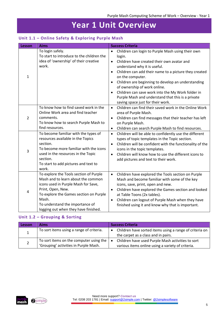## **Year 1 Unit Overview**

#### <span id="page-4-1"></span><span id="page-4-0"></span>**Unit 1.1 – Online Safety & Exploring Purple Mash**

| Lesson                  | <b>Aims</b>                                                                                                                                                                                                                                                            | <b>Success Criteria</b>                                                                                                                                                                                                                                                                                                                                                                                                                                                                                         |
|-------------------------|------------------------------------------------------------------------------------------------------------------------------------------------------------------------------------------------------------------------------------------------------------------------|-----------------------------------------------------------------------------------------------------------------------------------------------------------------------------------------------------------------------------------------------------------------------------------------------------------------------------------------------------------------------------------------------------------------------------------------------------------------------------------------------------------------|
| $\mathbf{1}$            | To login safely.<br>To start to introduce to the children the<br>idea of 'ownership' of their creative<br>work.                                                                                                                                                        | Children can login to Purple Mash using their own<br>$\bullet$<br>login.<br>Children have created their own avatar and<br>$\bullet$<br>understand why it is useful.<br>Children can add their name to a picture they created<br>$\bullet$<br>on the computer.<br>Children are beginning to develop an understanding<br>$\bullet$<br>of ownership of work online.<br>Children can save work into the My Work folder in<br>Purple Mash and understand that this is a private<br>saving space just for their work. |
| $\overline{2}$          | To know how to find saved work in the<br>Online Work area and find teacher<br>comments.<br>To know how to search Purple Mash to<br>find resources.                                                                                                                     | Children can find their saved work in the Online Work<br>$\bullet$<br>area of Purple Mash.<br>Children can find messages that their teacher has left<br>$\bullet$<br>on Purple Mash.<br>Children can search Purple Mash to find resources.<br>$\bullet$                                                                                                                                                                                                                                                         |
| $\overline{\mathbf{3}}$ | To become familiar with the types of<br>resources available in the Topics<br>section.<br>To become more familiar with the icons<br>used in the resources in the Topic<br>section.<br>To start to add pictures and text to<br>work.                                     | Children will be able to confidently use the different<br>$\bullet$<br>types of topic templates in the Topic section.<br>Children will be confident with the functionality of the<br>$\bullet$<br>icons in the topic templates.<br>Children will know how to use the different icons to<br>$\bullet$<br>add pictures and text to their work.                                                                                                                                                                    |
| $\overline{4}$          | To explore the Tools section of Purple<br>Mash and to learn about the common<br>icons used in Purple Mash for Save,<br>Print, Open, New.<br>To explore the Games section on Purple<br>Mash.<br>To understand the importance of<br>logging out when they have finished. | Children have explored the Tools section on Purple<br>$\bullet$<br>Mash and become familiar with some of the key<br>icons, save, print, open and new.<br>Children have explored the Games section and looked<br>$\bullet$<br>at Table Toons (2x tables).<br>Children can logout of Purple Mash when they have<br>$\bullet$<br>finished using it and know why that is important.                                                                                                                                 |

#### <span id="page-4-2"></span>**Unit 1.2 – Grouping & Sorting**

| Lesson | Aims                                        | <b>Success Criteria</b>                                 |
|--------|---------------------------------------------|---------------------------------------------------------|
|        | To sort items using a range of criteria.    | Children have sorted items using a range of criteria on |
|        |                                             | the carpet as a class and in pairs.                     |
|        | To sort items on the computer using the $ $ | Children have used Purple Mash activities to sort       |
|        | 'Grouping' activities in Purple Mash.       | various items online using a variety of criteria.       |

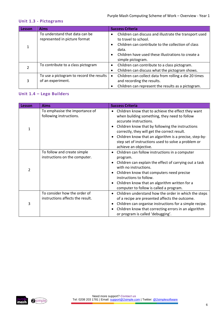#### <span id="page-5-0"></span>**Unit 1.3 - Pictograms**

| Lesson | <b>Aims</b>                                                     | <b>Success Criteria</b>                                                                                                                                                                                                                            |
|--------|-----------------------------------------------------------------|----------------------------------------------------------------------------------------------------------------------------------------------------------------------------------------------------------------------------------------------------|
|        | To understand that data can be<br>represented in picture format | Children can discuss and illustrate the transport used<br>to travel to school.<br>Children can contribute to the collection of class<br>$\bullet$<br>data.<br>Children have used these illustrations to create a<br>$\bullet$<br>simple pictogram. |
|        | To contribute to a class pictogram                              | Children can contribute to a class pictogram.<br>$\bullet$<br>Children can discuss what the pictogram shows.<br>٠                                                                                                                                  |
| 3      | To use a pictogram to record the results<br>of an experiment.   | Children can collect data from rolling a die 20 times<br>$\bullet$<br>and recording the results.<br>Children can represent the results as a pictogram.<br>٠                                                                                        |

#### <span id="page-5-1"></span>**Unit 1.4 – Lego Builders**

| Lesson | <b>Aims</b>                                                      | <b>Success Criteria</b>                                                                                                                                                                                                                                                                                                                                                    |
|--------|------------------------------------------------------------------|----------------------------------------------------------------------------------------------------------------------------------------------------------------------------------------------------------------------------------------------------------------------------------------------------------------------------------------------------------------------------|
| 1      | To emphasise the importance of<br>following instructions.        | Children know that to achieve the effect they want<br>when building something, they need to follow<br>accurate instructions.<br>Children know that by following the instructions<br>correctly, they will get the correct result.<br>Children know that an algorithm is a precise, step-by-<br>step set of instructions used to solve a problem or<br>achieve an objective. |
| 2      | To follow and create simple<br>instructions on the computer.     | Children can follow instructions in a computer<br>program.<br>Children can explain the effect of carrying out a task<br>with no instructions.<br>Children know that computers need precise<br>instructions to follow.<br>Children know that an algorithm written for a<br>computer to follow is called a program.                                                          |
| 3      | To consider how the order of<br>instructions affects the result. | Children understand how the order in which the steps<br>of a recipe are presented affects the outcome.<br>Children can organise instructions for a simple recipe.<br>Children know that correcting errors in an algorithm<br>or program is called 'debugging'.                                                                                                             |

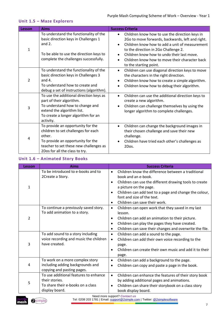#### <span id="page-6-0"></span>**Unit 1.5 – Maze Explorers**

| Lesson | <b>Aims</b>                                                                                                                                                                                         | <b>Success Criteria</b>                                                                                                                                                                                                                                                                                                                          |
|--------|-----------------------------------------------------------------------------------------------------------------------------------------------------------------------------------------------------|--------------------------------------------------------------------------------------------------------------------------------------------------------------------------------------------------------------------------------------------------------------------------------------------------------------------------------------------------|
| 1      | To understand the functionality of the<br>basic direction keys in Challenges 1<br>and $2.$<br>To be able to use the direction keys to<br>complete the challenges successfully.                      | Children know how to use the direction keys in<br>$\bullet$<br>2Go to move forwards, backwards, left and right.<br>Children know how to add a unit of measurement<br>$\bullet$<br>to the direction in 2Go Challenge 2.<br>Children know how to undo their last move.<br>Children know how to move their character back<br>to the starting point. |
| 2      | To understand the functionality of the<br>basic direction keys in Challenges 3<br>and $4.$<br>To understand how to create and<br>debug a set of instructions (algorithm).                           | Children can use diagonal direction keys to move<br>$\bullet$<br>the characters in the right direction.<br>Children know how to create a simple algorithm.<br>$\bullet$<br>Children know how to debug their algorithm.                                                                                                                           |
| 3      | To use the additional direction keys as<br>part of their algorithm.<br>To understand how to change and<br>extend the algorithm list.<br>To create a longer algorithm for an<br>activity.            | Children can use the additional direction keys to<br>create a new algorithm.<br>Children can challenge themselves by using the<br>$\bullet$<br>longer algorithm to complete challenges.                                                                                                                                                          |
| 4      | To provide an opportunity for the<br>children to set challenges for each<br>other.<br>To provide an opportunity for the<br>teacher to set these new challenges as<br>2Dos for all the class to try. | Children can change the background images in<br>$\bullet$<br>their chosen challenge and save their new<br>challenge.<br>Children have tried each other's challenges as<br>2Dos.                                                                                                                                                                  |

#### <span id="page-6-1"></span>**Unit 1.6 – Animated Story Books**

| Lesson | <b>Aims</b>                                                                                                    | <b>Success Criteria</b>                                                                                                                                                                                                                                                                                                                    |
|--------|----------------------------------------------------------------------------------------------------------------|--------------------------------------------------------------------------------------------------------------------------------------------------------------------------------------------------------------------------------------------------------------------------------------------------------------------------------------------|
| 1      | To be introduced to e-books and to<br>2Create a Story.                                                         | Children know the difference between a traditional<br>$\bullet$<br>book and an e-book.<br>Children can use the different drawing tools to create<br>$\bullet$<br>a picture on the page.<br>Children can add text to a page and change the colour,<br>$\bullet$<br>font and size of the text.<br>Children can save their work.<br>$\bullet$ |
| 2      | To continue a previously saved story.<br>To add animation to a story.                                          | Children can open work that they saved in my last<br>$\bullet$<br>lesson.<br>Children can add an animation to their picture.<br>$\bullet$<br>Children can play the pages they have created.<br>$\bullet$<br>Children can save their changes and overwrite the file.<br>$\bullet$                                                           |
| 3      | To add sound to a story including<br>voice recording and music the children<br>have created.                   | Children can add a sound to the page.<br>$\bullet$<br>Children can add their own voice recording to the<br>$\bullet$<br>page.<br>Children can create their own music and add it to their<br>$\bullet$<br>page.                                                                                                                             |
| 4      | To work on a more complex story<br>including adding backgrounds and<br>copying and pasting pages.              | Children can add a background to the page.<br>٠<br>Children can copy and paste a page in the book.<br>$\bullet$                                                                                                                                                                                                                            |
| 5      | To use additional features to enhance<br>their stories.<br>To share their e-books on a class<br>display board. | Children can enhance the features of their story book<br>$\bullet$<br>by adding additional pages and animations.<br>Children can share their storybook on a class story<br>$\bullet$<br>book display board.                                                                                                                                |

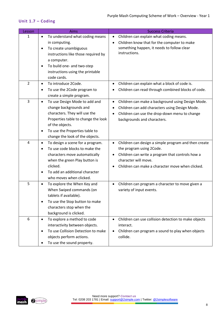#### <span id="page-7-0"></span>**Unit 1.7 – Coding**

| Lesson         | Aims                                            | <b>Success Criteria</b>                                           |
|----------------|-------------------------------------------------|-------------------------------------------------------------------|
| 1              | To understand what coding means<br>$\bullet$    | Children can explain what coding means.<br>$\bullet$              |
|                | in computing.                                   | Children know that for the computer to make<br>$\bullet$          |
|                | To create unambiguous<br>$\bullet$              | something happen, it needs to follow clear                        |
|                | instructions like those required by             | instructions.                                                     |
|                | a computer.                                     |                                                                   |
|                | To build one- and two-step<br>$\bullet$         |                                                                   |
|                | instructions using the printable                |                                                                   |
|                | code cards.                                     |                                                                   |
| $\overline{2}$ | To introduce 2Code.<br>$\bullet$                | Children can explain what a block of code is.<br>$\bullet$        |
|                | To use the 2Code program to<br>٠                | Children can read through combined blocks of code.                |
|                | create a simple program.                        |                                                                   |
| 3              | To use Design Mode to add and<br>$\bullet$      | Children can make a background using Design Mode.<br>$\bullet$    |
|                | change backgrounds and                          | Children can add characters using Design Mode.<br>$\bullet$       |
|                | characters. They will use the                   | Children can use the drop-down menu to change<br>$\bullet$        |
|                | Properties table to change the look             | backgrounds and characters.                                       |
|                | of the objects.                                 |                                                                   |
|                | To use the Properties table to<br>$\bullet$     |                                                                   |
|                | change the look of the objects.                 |                                                                   |
| 4              | To design a scene for a program.<br>$\bullet$   | Children can design a simple program and then create<br>$\bullet$ |
|                | To use code blocks to make the<br>$\bullet$     | the program using 2Code.                                          |
|                | characters move automatically                   | Children can write a program that controls how a<br>$\bullet$     |
|                | when the green Play button is                   | character will move.                                              |
|                | clicked.                                        | Children can make a character move when clicked.<br>$\bullet$     |
|                | To add an additional character                  |                                                                   |
|                | who moves when clicked.                         |                                                                   |
| 5              | To explore the When Key and<br>$\bullet$        | Children can program a character to move given a<br>$\bullet$     |
|                | When Swiped commands (on                        | variety of input events.                                          |
|                | tablets if available).                          |                                                                   |
|                | To use the Stop button to make<br>$\bullet$     |                                                                   |
|                | characters stop when the                        |                                                                   |
|                | background is clicked.                          |                                                                   |
| 6              | To explore a method to code<br>$\bullet$        | Children can use collision detection to make objects<br>$\bullet$ |
|                | interactivity between objects.                  | interact.                                                         |
|                | To use Collision Detection to make<br>$\bullet$ | Children can program a sound to play when objects<br>$\bullet$    |
|                | objects perform actions.                        | collide.                                                          |
|                | To use the sound property.                      |                                                                   |

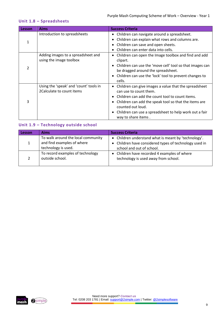#### <span id="page-8-0"></span>**Unit 1.8 – Spreadsheets**

| Lesson         | <b>Aims</b>                            | <b>Success Criteria</b>                                             |
|----------------|----------------------------------------|---------------------------------------------------------------------|
|                | Introduction to spreadsheets           | • Children can navigate around a spreadsheet.                       |
|                |                                        | Children can explain what rows and columns are.<br>٠                |
|                |                                        | Children can save and open sheets.<br>٠                             |
| $\mathfrak{p}$ |                                        | Children can enter data into cells.                                 |
|                | Adding images to a spreadsheet and     | Children can open the Image toolbox and find and add<br>٠           |
|                | using the image toolbox                | clipart.                                                            |
|                |                                        | • Children can use the 'move cell' tool so that images can          |
|                |                                        | be dragged around the spreadsheet.                                  |
|                |                                        | • Children can use the 'lock' tool to prevent changes to            |
|                |                                        | cells.                                                              |
|                | Using the 'speak' and 'count' tools in | Children can give images a value that the spreadsheet<br>٠          |
|                | 2Calculate to count items              | can use to count them.                                              |
| 3              |                                        | Children can add the count tool to count items.<br>٠                |
|                |                                        | • Children can add the speak tool so that the items are             |
|                |                                        | counted out loud.                                                   |
|                |                                        | Children can use a spreadsheet to help work out a fair<br>$\bullet$ |
|                |                                        | way to share items.                                                 |

#### <span id="page-8-1"></span>**Unit 1.9 – Technology outside school**

| Lesson | <b>Aims</b>                                                                             | <b>Success Criteria</b>                                                                                                                     |
|--------|-----------------------------------------------------------------------------------------|---------------------------------------------------------------------------------------------------------------------------------------------|
|        | To walk around the local community<br>and find examples of where<br>technology is used. | • Children understand what is meant by 'technology'.<br>• Children have considered types of technology used in<br>school and out of school. |
|        | To record examples of technology<br>outside school.                                     | • Children have recorded 4 examples of where<br>technology is used away from school.                                                        |

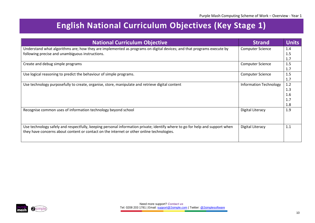## **English National Curriculum Objectives (Key Stage 1)**

<span id="page-9-0"></span>

| <b>National Curriculum Objective</b>                                                                                         | <b>Strand</b>                 | <b>Units</b> |
|------------------------------------------------------------------------------------------------------------------------------|-------------------------------|--------------|
| Understand what algorithms are; how they are implemented as programs on digital devices; and that programs execute by        | <b>Computer Science</b>       | 1.4          |
| following precise and unambiguous instructions.                                                                              |                               | 1.5          |
|                                                                                                                              |                               | 1.7          |
| Create and debug simple programs                                                                                             | <b>Computer Science</b>       | 1.5          |
|                                                                                                                              |                               | 1.7          |
| Use logical reasoning to predict the behaviour of simple programs.                                                           | <b>Computer Science</b>       | 1.5          |
|                                                                                                                              |                               | 1.7          |
| Use technology purposefully to create, organise, store, manipulate and retrieve digital content                              | <b>Information Technology</b> | 1.2          |
|                                                                                                                              |                               | 1.3          |
|                                                                                                                              |                               | 1.6          |
|                                                                                                                              |                               | 1.7          |
|                                                                                                                              |                               | 1.8          |
| Recognise common uses of information technology beyond school                                                                | Digital Literacy              | 1.9          |
|                                                                                                                              |                               |              |
|                                                                                                                              |                               |              |
| Use technology safely and respectfully, keeping personal information private; identify where to go for help and support when | Digital Literacy              | 1.1          |
| they have concerns about content or contact on the internet or other online technologies.                                    |                               |              |
|                                                                                                                              |                               |              |
|                                                                                                                              |                               |              |

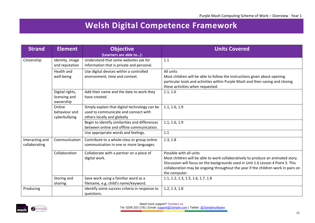## **Welsh Digital Competence Framework**

<span id="page-10-0"></span>

| <b>Strand</b>   | <b>Element</b>                   | <b>Objective</b>                                                                      | <b>Units Covered</b>                                                              |
|-----------------|----------------------------------|---------------------------------------------------------------------------------------|-----------------------------------------------------------------------------------|
|                 |                                  | (Learners are able to):                                                               |                                                                                   |
| Citizenship     | Identity, image                  | Understand that some websites ask for                                                 | 1.1                                                                               |
|                 | and reputation                   | information that is private and personal.                                             |                                                                                   |
|                 | Health and                       | Use digital devices within a controlled                                               | All units                                                                         |
|                 | well-being                       | environment, time and context.                                                        | Most children will be able to follow the instructions given about opening         |
|                 |                                  |                                                                                       | particular tools and activities within Purple Mash and then saving and closing    |
|                 |                                  |                                                                                       | these activities when requested.                                                  |
|                 | Digital rights,<br>licensing and | Add their name and the date to work they<br>have created.                             | 1.1, 1.6                                                                          |
|                 | ownership                        |                                                                                       |                                                                                   |
|                 | Online                           | Simply explain that digital technology can be                                         | 1.1, 1.6, 1.9                                                                     |
|                 | behaviour and                    | used to communicate and connect with                                                  |                                                                                   |
|                 | cyberbullying                    | others locally and globally                                                           |                                                                                   |
|                 |                                  | Begin to identify similarities and differences                                        | 1.1, 1.6, 1.9                                                                     |
|                 |                                  | between online and offline communication.                                             |                                                                                   |
|                 |                                  | Use appropriate words and feelings.                                                   | 1.1                                                                               |
| Interacting and | Communication                    | Contribute to a whole-class or group online                                           | 1.3, 1.8                                                                          |
| collaborating   |                                  | communication in one or more languages.                                               |                                                                                   |
|                 | Collaboration                    | Collaborate with a partner on a piece of                                              | Possible with all units                                                           |
|                 |                                  | digital work.                                                                         | Most children will be able to work collaboratively to produce an animated story.  |
|                 |                                  |                                                                                       | Discussion will focus on the backgrounds used in Unit 1.6 Lesson 4 Point 3. This  |
|                 |                                  |                                                                                       | collaboration may be ongoing throughout the year if the children work in pairs on |
|                 |                                  |                                                                                       | the computer.                                                                     |
|                 | Storing and                      | Save work using a familiar word as a                                                  | 1.1, 1.2, 1.3, 1.5, 1.6, 1.7, 1.8                                                 |
|                 | sharing                          | filename, e.g. child's name/keyword.<br>Identify some success criteria in response to | 1.2, 1.3, 1.8                                                                     |
| Producing       |                                  |                                                                                       |                                                                                   |
|                 |                                  | questions.                                                                            |                                                                                   |

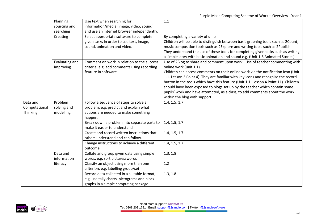|               | Planning,                   | Use text when searching for                                                               | 1.1                                                                                                    |
|---------------|-----------------------------|-------------------------------------------------------------------------------------------|--------------------------------------------------------------------------------------------------------|
|               | sourcing and                | information/media (image, video, sound)                                                   |                                                                                                        |
|               | searching                   | and use an internet browser independently,                                                |                                                                                                        |
|               | Creating                    | Select appropriate software to complete                                                   | By completing a variety of units                                                                       |
|               |                             | given tasks in order to use text, image,                                                  | Children will be able to distinguish between basic graphing tools such as 2Count,                      |
|               |                             | sound, animation and video.                                                               | music composition tools such as 2Explore and writing tools such as 2Publish.                           |
|               |                             |                                                                                           | They understand the use of these tools for completing given tasks such as writing                      |
|               |                             |                                                                                           | a simple story with basic animation and sound e.g. (Unit 1.6 Animated Stories).                        |
|               | Evaluating and<br>improving | Comment on work in relation to the success<br>criteria, e.g. add comments using recording | Use of 2Blog to share and comment upon work. Use of teacher commenting with<br>online work (unit 1.1). |
|               |                             | feature in software.                                                                      | Children can access comments on their online work via the notification icon (Unit                      |
|               |                             |                                                                                           | 1.1. Lesson 2 Point 4). They are familiar with key icons and recognise the record                      |
|               |                             |                                                                                           | button in the tools which have this feature (Unit 1.1. Lesson 4 Point 11). Children                    |
|               |                             |                                                                                           | should have been exposed to blogs set up by the teacher which contain some                             |
|               |                             |                                                                                           | pupils' work and have attempted, as a class, to add comments about the work                            |
|               |                             |                                                                                           | within the blog with support.                                                                          |
| Data and      | Problem                     | Follow a sequence of steps to solve a                                                     | 1.4, 1.5, 1.7                                                                                          |
| Computational | solving and                 | problem, e.g. predict and explain what                                                    |                                                                                                        |
| Thinking      | modelling                   | actions are needed to make something                                                      |                                                                                                        |
|               |                             | happen.                                                                                   |                                                                                                        |
|               |                             | Break down a problem into separate parts to                                               | 1.4, 1.5, 1.7                                                                                          |
|               |                             | make it easier to understand                                                              |                                                                                                        |
|               |                             | Create and record written instructions that                                               | 1.4, 1.5, 1.7                                                                                          |
|               |                             | others understand and can follow.                                                         |                                                                                                        |
|               |                             | Change instructions to achieve a different                                                | 1.4, 1.5, 1.7                                                                                          |
|               |                             | outcome.                                                                                  |                                                                                                        |
|               | Data and                    | Collate and group given data using simple                                                 | 1.3, 1.8                                                                                               |
|               | information                 | words, e.g. sort pictures/words                                                           |                                                                                                        |
|               | literacy                    | Classify an object using more than one                                                    | 1.2                                                                                                    |
|               |                             | criterion, e.g. labelling group/set                                                       |                                                                                                        |
|               |                             | Record data collected in a suitable format,                                               | 1.3, 1.8                                                                                               |
|               |                             | e.g. use tally charts, pictograms and block                                               |                                                                                                        |
|               |                             | graphs in a simple computing package.                                                     |                                                                                                        |

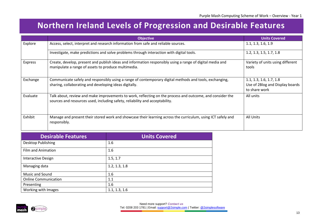## **Northern Ireland Levels of Progression and Desirable Features**

|                | <b>Objective</b>                                                                                                                                                                          | <b>Units Covered</b>                                                        |
|----------------|-------------------------------------------------------------------------------------------------------------------------------------------------------------------------------------------|-----------------------------------------------------------------------------|
| Explore        | Access, select, interpret and research information from safe and reliable sources.                                                                                                        | 1.1, 1.3, 1.6, 1.9                                                          |
|                | Investigate, make predictions and solve problems through interaction with digital tools.                                                                                                  | 1.2, 1.3, 1.5, 1.7, 1.8                                                     |
| <b>Express</b> | Create, develop, present and publish ideas and information responsibly using a range of digital media and<br>manipulate a range of assets to produce multimedia.                          | Variety of units using different<br>tools                                   |
| Exchange       | Communicate safely and responsibly using a range of contemporary digital methods and tools, exchanging,<br>sharing, collaborating and developing ideas digitally.                         | 1.1, 1.3, 1.6, 1.7, 1.8<br>Use of 2Blog and Display boards<br>to share work |
| Evaluate       | Talk about, review and make improvements to work, reflecting on the process and outcome, and consider the<br>sources and resources used, including safety, reliability and acceptability. | All units                                                                   |
| Exhibit        | Manage and present their stored work and showcase their learning across the curriculum, using ICT safely and<br>responsibly.                                                              | All Units                                                                   |

<span id="page-12-0"></span>

| <b>Desirable Features</b>   | <b>Units Covered</b> |
|-----------------------------|----------------------|
| Desktop Publishing          | 1.6                  |
| <b>Film and Animation</b>   | 1.6                  |
| <b>Interactive Design</b>   | 1.5, 1.7             |
| Managing data               | 1.2, 1.3, 1.8        |
| Music and Sound             | 1.6                  |
| <b>Online Communication</b> | 1.1                  |
| Presenting                  | 1.6                  |
| Working with Images         | 1.1, 1.3, 1.6        |